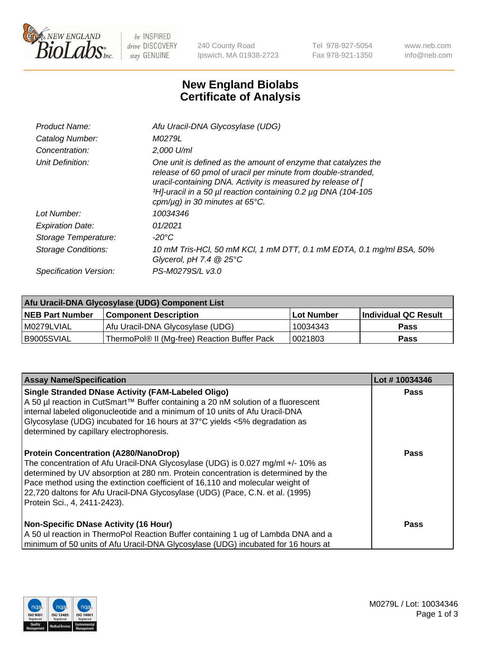

 $be$  INSPIRED drive DISCOVERY stay GENUINE

240 County Road Ipswich, MA 01938-2723 Tel 978-927-5054 Fax 978-921-1350 www.neb.com info@neb.com

## **New England Biolabs Certificate of Analysis**

| Afu Uracil-DNA Glycosylase (UDG)                                                                                                                                                                                                                                                                                     |
|----------------------------------------------------------------------------------------------------------------------------------------------------------------------------------------------------------------------------------------------------------------------------------------------------------------------|
| M0279L                                                                                                                                                                                                                                                                                                               |
| $2.000$ U/ml                                                                                                                                                                                                                                                                                                         |
| One unit is defined as the amount of enzyme that catalyzes the<br>release of 60 pmol of uracil per minute from double-stranded,<br>uracil-containing DNA. Activity is measured by release of [<br>3H <sub>1</sub> -uracil in a 50 µl reaction containing 0.2 µg DNA (104-105<br>cpm/ $\mu$ g) in 30 minutes at 65°C. |
| 10034346                                                                                                                                                                                                                                                                                                             |
| 01/2021                                                                                                                                                                                                                                                                                                              |
| $-20^{\circ}$ C                                                                                                                                                                                                                                                                                                      |
| 10 mM Tris-HCl, 50 mM KCl, 1 mM DTT, 0.1 mM EDTA, 0.1 mg/ml BSA, 50%<br>Glycerol, pH 7.4 $@25^{\circ}C$                                                                                                                                                                                                              |
| PS-M0279S/L v3.0                                                                                                                                                                                                                                                                                                     |
|                                                                                                                                                                                                                                                                                                                      |

| Afu Uracil-DNA Glycosylase (UDG) Component List |                                              |                   |                      |  |
|-------------------------------------------------|----------------------------------------------|-------------------|----------------------|--|
| <b>NEB Part Number</b>                          | <b>Component Description</b>                 | <b>Lot Number</b> | Individual QC Result |  |
| I M0279LVIAL                                    | Afu Uracil-DNA Glycosylase (UDG)             | 10034343          | <b>Pass</b>          |  |
| I B9005SVIAL                                    | ThermoPol® II (Mg-free) Reaction Buffer Pack | 10021803          | Pass                 |  |

| <b>Assay Name/Specification</b>                                                                                                                                                                                                                                                                                                                                                                                         | Lot #10034346 |
|-------------------------------------------------------------------------------------------------------------------------------------------------------------------------------------------------------------------------------------------------------------------------------------------------------------------------------------------------------------------------------------------------------------------------|---------------|
| <b>Single Stranded DNase Activity (FAM-Labeled Oligo)</b><br>A 50 µl reaction in CutSmart™ Buffer containing a 20 nM solution of a fluorescent<br>internal labeled oligonucleotide and a minimum of 10 units of Afu Uracil-DNA<br>Glycosylase (UDG) incubated for 16 hours at $37^{\circ}$ C yields <5% degradation as<br>determined by capillary electrophoresis.                                                      | <b>Pass</b>   |
| <b>Protein Concentration (A280/NanoDrop)</b><br>The concentration of Afu Uracil-DNA Glycosylase (UDG) is 0.027 mg/ml +/- 10% as<br>determined by UV absorption at 280 nm. Protein concentration is determined by the<br>Pace method using the extinction coefficient of 16,110 and molecular weight of<br>22,720 daltons for Afu Uracil-DNA Glycosylase (UDG) (Pace, C.N. et al. (1995)<br>Protein Sci., 4, 2411-2423). | Pass          |
| <b>Non-Specific DNase Activity (16 Hour)</b><br>A 50 ul reaction in ThermoPol Reaction Buffer containing 1 ug of Lambda DNA and a<br>minimum of 50 units of Afu Uracil-DNA Glycosylase (UDG) incubated for 16 hours at                                                                                                                                                                                                  | Pass          |

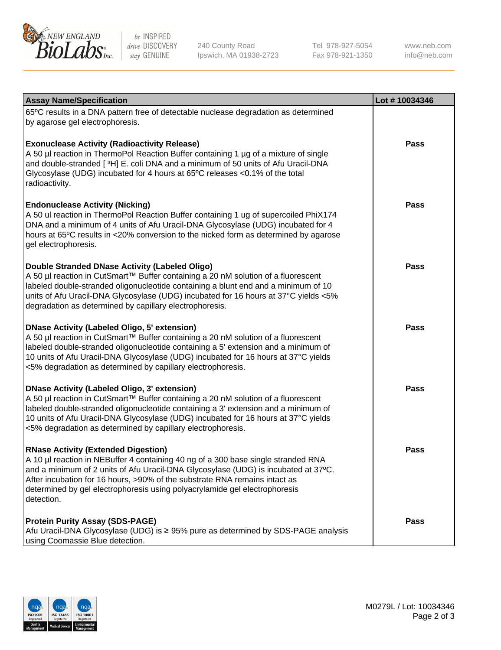

be INSPIRED drive DISCOVERY stay GENUINE

240 County Road Ipswich, MA 01938-2723 Tel 978-927-5054 Fax 978-921-1350

www.neb.com info@neb.com

| <b>Assay Name/Specification</b>                                                                                                                                                                                                                                                                                                                                                                 | Lot #10034346 |
|-------------------------------------------------------------------------------------------------------------------------------------------------------------------------------------------------------------------------------------------------------------------------------------------------------------------------------------------------------------------------------------------------|---------------|
| 65°C results in a DNA pattern free of detectable nuclease degradation as determined<br>by agarose gel electrophoresis.                                                                                                                                                                                                                                                                          |               |
| <b>Exonuclease Activity (Radioactivity Release)</b><br>A 50 µl reaction in ThermoPol Reaction Buffer containing 1 µg of a mixture of single<br>and double-stranded [3H] E. coli DNA and a minimum of 50 units of Afu Uracil-DNA<br>Glycosylase (UDG) incubated for 4 hours at 65°C releases <0.1% of the total<br>radioactivity.                                                                | <b>Pass</b>   |
| <b>Endonuclease Activity (Nicking)</b><br>A 50 ul reaction in ThermoPol Reaction Buffer containing 1 ug of supercoiled PhiX174<br>DNA and a minimum of 4 units of Afu Uracil-DNA Glycosylase (UDG) incubated for 4<br>hours at 65°C results in <20% conversion to the nicked form as determined by agarose<br>gel electrophoresis.                                                              | <b>Pass</b>   |
| Double Stranded DNase Activity (Labeled Oligo)<br>A 50 µl reaction in CutSmart™ Buffer containing a 20 nM solution of a fluorescent<br>labeled double-stranded oligonucleotide containing a blunt end and a minimum of 10<br>units of Afu Uracil-DNA Glycosylase (UDG) incubated for 16 hours at 37°C yields <5%<br>degradation as determined by capillary electrophoresis.                     | <b>Pass</b>   |
| <b>DNase Activity (Labeled Oligo, 5' extension)</b><br>A 50 µl reaction in CutSmart™ Buffer containing a 20 nM solution of a fluorescent<br>labeled double-stranded oligonucleotide containing a 5' extension and a minimum of<br>10 units of Afu Uracil-DNA Glycosylase (UDG) incubated for 16 hours at 37°C yields<br><5% degradation as determined by capillary electrophoresis.             | <b>Pass</b>   |
| <b>DNase Activity (Labeled Oligo, 3' extension)</b><br>A 50 µl reaction in CutSmart™ Buffer containing a 20 nM solution of a fluorescent<br>labeled double-stranded oligonucleotide containing a 3' extension and a minimum of<br>10 units of Afu Uracil-DNA Glycosylase (UDG) incubated for 16 hours at 37°C yields<br><5% degradation as determined by capillary electrophoresis.             | <b>Pass</b>   |
| <b>RNase Activity (Extended Digestion)</b><br>A 10 µl reaction in NEBuffer 4 containing 40 ng of a 300 base single stranded RNA<br>and a minimum of 2 units of Afu Uracil-DNA Glycosylase (UDG) is incubated at 37°C.<br>After incubation for 16 hours, >90% of the substrate RNA remains intact as<br>determined by gel electrophoresis using polyacrylamide gel electrophoresis<br>detection. | <b>Pass</b>   |
| <b>Protein Purity Assay (SDS-PAGE)</b><br>Afu Uracil-DNA Glycosylase (UDG) is ≥ 95% pure as determined by SDS-PAGE analysis<br>using Coomassie Blue detection.                                                                                                                                                                                                                                  | Pass          |